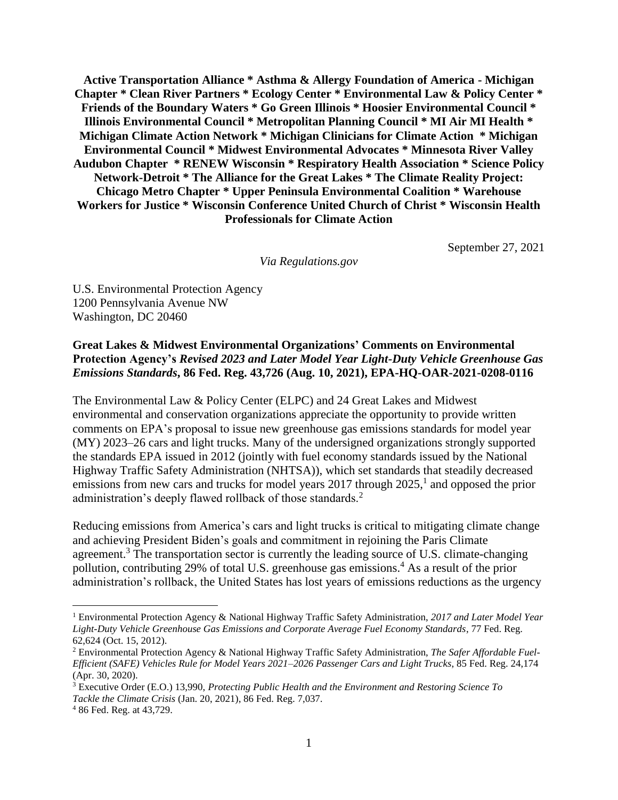**Active Transportation Alliance \* Asthma & Allergy Foundation of America - Michigan Chapter \* Clean River Partners \* Ecology Center \* Environmental Law & Policy Center \* Friends of the Boundary Waters \* Go Green Illinois \* Hoosier Environmental Council \* Illinois Environmental Council \* Metropolitan Planning Council \* MI Air MI Health \* Michigan Climate Action Network \* Michigan Clinicians for Climate Action \* Michigan Environmental Council \* Midwest Environmental Advocates \* Minnesota River Valley Audubon Chapter \* RENEW Wisconsin \* Respiratory Health Association \* Science Policy Network-Detroit \* The Alliance for the Great Lakes \* The Climate Reality Project: Chicago Metro Chapter \* Upper Peninsula Environmental Coalition \* Warehouse Workers for Justice \* Wisconsin Conference United Church of Christ \* Wisconsin Health Professionals for Climate Action**

September 27, 2021

*Via Regulations.gov*

U.S. Environmental Protection Agency 1200 Pennsylvania Avenue NW Washington, DC 20460

#### **Great Lakes & Midwest Environmental Organizations' Comments on Environmental Protection Agency's** *Revised 2023 and Later Model Year Light-Duty Vehicle Greenhouse Gas Emissions Standards***, 86 Fed. Reg. 43,726 (Aug. 10, 2021), EPA-HQ-OAR-2021-0208-0116**

The Environmental Law & Policy Center (ELPC) and 24 Great Lakes and Midwest environmental and conservation organizations appreciate the opportunity to provide written comments on EPA's proposal to issue new greenhouse gas emissions standards for model year (MY) 2023–26 cars and light trucks. Many of the undersigned organizations strongly supported the standards EPA issued in 2012 (jointly with fuel economy standards issued by the National Highway Traffic Safety Administration (NHTSA)), which set standards that steadily decreased emissions from new cars and trucks for model years  $2017$  through  $2025$ ,<sup>1</sup> and opposed the prior administration's deeply flawed rollback of those standards.<sup>2</sup>

Reducing emissions from America's cars and light trucks is critical to mitigating climate change and achieving President Biden's goals and commitment in rejoining the Paris Climate agreement.<sup>3</sup> The transportation sector is currently the leading source of U.S. climate-changing pollution, contributing 29% of total U.S. greenhouse gas emissions. <sup>4</sup> As a result of the prior administration's rollback, the United States has lost years of emissions reductions as the urgency

 $\overline{a}$ 

<sup>1</sup> Environmental Protection Agency & National Highway Traffic Safety Administration, *2017 and Later Model Year Light-Duty Vehicle Greenhouse Gas Emissions and Corporate Average Fuel Economy Standards*, 77 Fed. Reg. 62,624 (Oct. 15, 2012).

<sup>2</sup> Environmental Protection Agency & National Highway Traffic Safety Administration, *The Safer Affordable Fuel-Efficient (SAFE) Vehicles Rule for Model Years 2021–2026 Passenger Cars and Light Trucks*, 85 Fed. Reg. 24,174 (Apr. 30, 2020).

<sup>3</sup> Executive Order (E.O.) 13,990, *Protecting Public Health and the Environment and Restoring Science To Tackle the Climate Crisis* (Jan. 20, 2021), 86 Fed. Reg. 7,037.

<sup>4</sup> 86 Fed. Reg. at 43,729.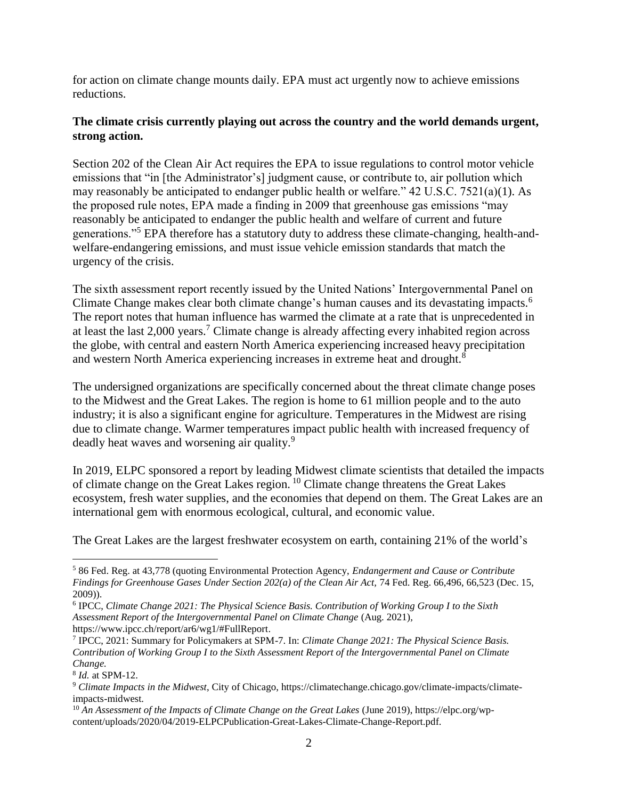for action on climate change mounts daily. EPA must act urgently now to achieve emissions reductions.

### **The climate crisis currently playing out across the country and the world demands urgent, strong action.**

Section 202 of the Clean Air Act requires the EPA to issue regulations to control motor vehicle emissions that "in [the Administrator's] judgment cause, or contribute to, air pollution which may reasonably be anticipated to endanger public health or welfare." 42 U.S.C. 7521(a)(1). As the proposed rule notes, EPA made a finding in 2009 that greenhouse gas emissions "may reasonably be anticipated to endanger the public health and welfare of current and future generations."<sup>5</sup> EPA therefore has a statutory duty to address these climate-changing, health-andwelfare-endangering emissions, and must issue vehicle emission standards that match the urgency of the crisis.

The sixth assessment report recently issued by the United Nations' Intergovernmental Panel on Climate Change makes clear both climate change's human causes and its devastating impacts.<sup>6</sup> The report notes that human influence has warmed the climate at a rate that is unprecedented in at least the last 2,000 years.<sup>7</sup> Climate change is already affecting every inhabited region across the globe, with central and eastern North America experiencing increased heavy precipitation and western North America experiencing increases in extreme heat and drought.<sup>8</sup>

The undersigned organizations are specifically concerned about the threat climate change poses to the Midwest and the Great Lakes. The region is home to 61 million people and to the auto industry; it is also a significant engine for agriculture. Temperatures in the Midwest are rising due to climate change. Warmer temperatures impact public health with increased frequency of deadly heat waves and worsening air quality.<sup>9</sup>

In 2019, ELPC sponsored a report by leading Midwest climate scientists that detailed the impacts of climate change on the Great Lakes region. <sup>10</sup> Climate change threatens the Great Lakes ecosystem, fresh water supplies, and the economies that depend on them. The Great Lakes are an international gem with enormous ecological, cultural, and economic value.

The Great Lakes are the largest freshwater ecosystem on earth, containing 21% of the world's

 $\overline{a}$ 

<sup>5</sup> 86 Fed. Reg. at 43,778 (quoting Environmental Protection Agency, *Endangerment and Cause or Contribute Findings for Greenhouse Gases Under Section 202(a) of the Clean Air Act,* 74 Fed. Reg. 66,496, 66,523 (Dec. 15, 2009)).

<sup>6</sup> IPCC, *Climate Change 2021: The Physical Science Basis. Contribution of Working Group I to the Sixth Assessment Report of the Intergovernmental Panel on Climate Change* (Aug. 2021)*,*  https://www.ipcc.ch/report/ar6/wg1/#FullReport.

<sup>7</sup> IPCC, 2021: Summary for Policymakers at SPM-7. In: *Climate Change 2021: The Physical Science Basis. Contribution of Working Group I to the Sixth Assessment Report of the Intergovernmental Panel on Climate Change.*

<sup>8</sup> *Id.* at SPM-12.

<sup>9</sup> *Climate Impacts in the Midwest*, City of Chicago, https://climatechange.chicago.gov/climate-impacts/climateimpacts-midwest.

<sup>10</sup> *An Assessment of the Impacts of Climate Change on the Great Lakes* (June 2019), https://elpc.org/wpcontent/uploads/2020/04/2019-ELPCPublication-Great-Lakes-Climate-Change-Report.pdf.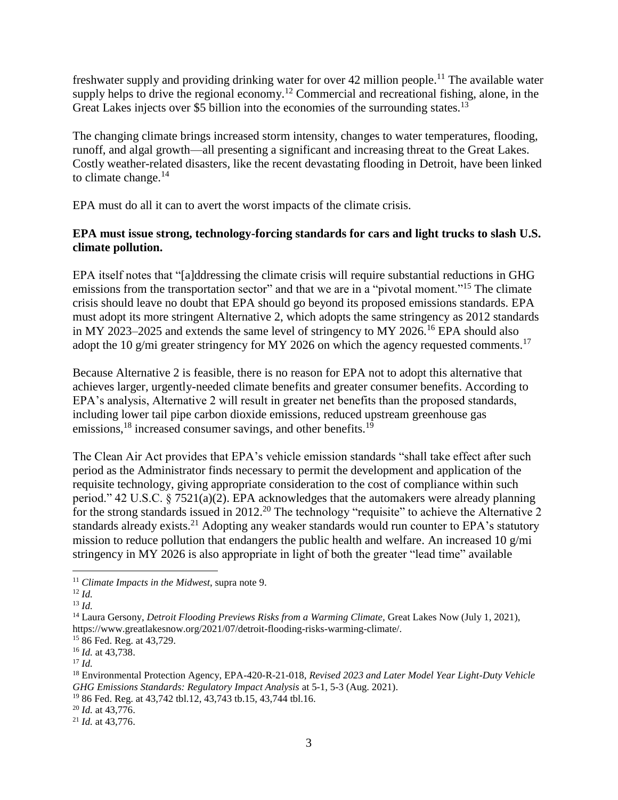freshwater supply and providing drinking water for over 42 million people.<sup>11</sup> The available water supply helps to drive the regional economy.<sup>12</sup> Commercial and recreational fishing, alone, in the Great Lakes injects over \$5 billion into the economies of the surrounding states.<sup>13</sup>

The changing climate brings increased storm intensity, changes to water temperatures, flooding, runoff, and algal growth—all presenting a significant and increasing threat to the Great Lakes. Costly weather-related disasters, like the recent devastating flooding in Detroit, have been linked to climate change. $^{14}$ 

EPA must do all it can to avert the worst impacts of the climate crisis.

# **EPA must issue strong, technology-forcing standards for cars and light trucks to slash U.S. climate pollution.**

EPA itself notes that "[a]ddressing the climate crisis will require substantial reductions in GHG emissions from the transportation sector" and that we are in a "pivotal moment."<sup>15</sup> The climate crisis should leave no doubt that EPA should go beyond its proposed emissions standards. EPA must adopt its more stringent Alternative 2, which adopts the same stringency as 2012 standards in MY 2023–2025 and extends the same level of stringency to MY 2026.<sup>16</sup> EPA should also adopt the 10 g/mi greater stringency for MY 2026 on which the agency requested comments.<sup>17</sup>

Because Alternative 2 is feasible, there is no reason for EPA not to adopt this alternative that achieves larger, urgently-needed climate benefits and greater consumer benefits. According to EPA's analysis, Alternative 2 will result in greater net benefits than the proposed standards, including lower tail pipe carbon dioxide emissions, reduced upstream greenhouse gas emissions,<sup>18</sup> increased consumer savings, and other benefits.<sup>19</sup>

The Clean Air Act provides that EPA's vehicle emission standards "shall take effect after such period as the Administrator finds necessary to permit the development and application of the requisite technology, giving appropriate consideration to the cost of compliance within such period." 42 U.S.C. § 7521(a)(2). EPA acknowledges that the automakers were already planning for the strong standards issued in 2012.<sup>20</sup> The technology "requisite" to achieve the Alternative 2 standards already exists.<sup>21</sup> Adopting any weaker standards would run counter to EPA's statutory mission to reduce pollution that endangers the public health and welfare. An increased 10 g/mi stringency in MY 2026 is also appropriate in light of both the greater "lead time" available

 $\overline{a}$ 

<sup>15</sup> 86 Fed. Reg. at 43,729.

<sup>11</sup> *Climate Impacts in the Midwest*, supra note 9.

<sup>12</sup> *Id.*

<sup>13</sup> *Id.*

<sup>&</sup>lt;sup>14</sup> Laura Gersony, *Detroit Flooding Previews Risks from a Warming Climate*, Great Lakes Now (July 1, 2021), https://www.greatlakesnow.org/2021/07/detroit-flooding-risks-warming-climate/.

<sup>16</sup> *Id.* at 43,738.

<sup>17</sup> *Id.*

<sup>18</sup> Environmental Protection Agency, EPA-420-R-21-018, *Revised 2023 and Later Model Year Light-Duty Vehicle GHG Emissions Standards: Regulatory Impact Analysis* at 5-1, 5-3 (Aug. 2021).

<sup>19</sup> 86 Fed. Reg. at 43,742 tbl.12, 43,743 tb.15, 43,744 tbl.16.

<sup>20</sup> *Id.* at 43,776.

<sup>21</sup> *Id.* at 43,776.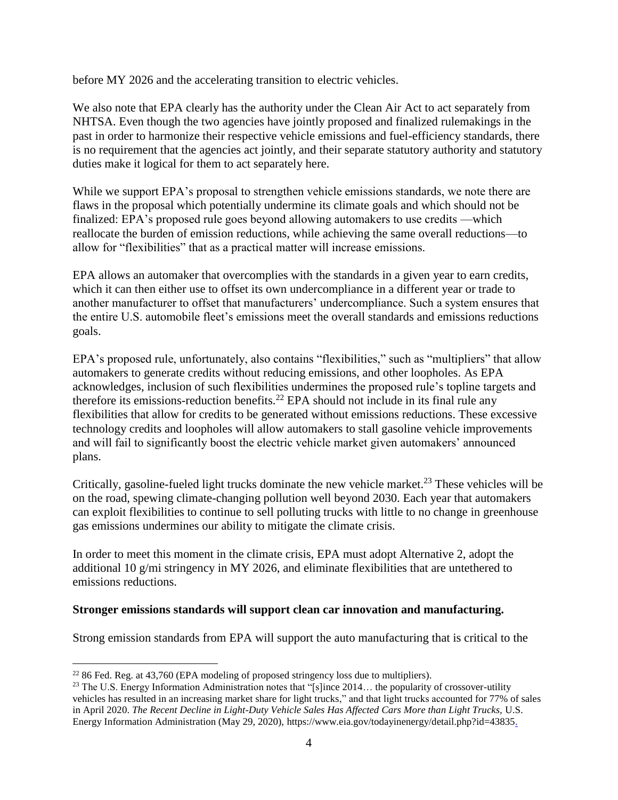before MY 2026 and the accelerating transition to electric vehicles.

We also note that EPA clearly has the authority under the Clean Air Act to act separately from NHTSA. Even though the two agencies have jointly proposed and finalized rulemakings in the past in order to harmonize their respective vehicle emissions and fuel-efficiency standards, there is no requirement that the agencies act jointly, and their separate statutory authority and statutory duties make it logical for them to act separately here.

While we support EPA's proposal to strengthen vehicle emissions standards, we note there are flaws in the proposal which potentially undermine its climate goals and which should not be finalized: EPA's proposed rule goes beyond allowing automakers to use credits —which reallocate the burden of emission reductions, while achieving the same overall reductions—to allow for "flexibilities" that as a practical matter will increase emissions.

EPA allows an automaker that overcomplies with the standards in a given year to earn credits, which it can then either use to offset its own undercompliance in a different year or trade to another manufacturer to offset that manufacturers' undercompliance. Such a system ensures that the entire U.S. automobile fleet's emissions meet the overall standards and emissions reductions goals.

EPA's proposed rule, unfortunately, also contains "flexibilities," such as "multipliers" that allow automakers to generate credits without reducing emissions, and other loopholes. As EPA acknowledges, inclusion of such flexibilities undermines the proposed rule's topline targets and therefore its emissions-reduction benefits.<sup>22</sup> EPA should not include in its final rule any flexibilities that allow for credits to be generated without emissions reductions. These excessive technology credits and loopholes will allow automakers to stall gasoline vehicle improvements and will fail to significantly boost the electric vehicle market given automakers' announced plans.

Critically, gasoline-fueled light trucks dominate the new vehicle market.<sup>23</sup> These vehicles will be on the road, spewing climate-changing pollution well beyond 2030. Each year that automakers can exploit flexibilities to continue to sell polluting trucks with little to no change in greenhouse gas emissions undermines our ability to mitigate the climate crisis.

In order to meet this moment in the climate crisis, EPA must adopt Alternative 2, adopt the additional 10 g/mi stringency in MY 2026, and eliminate flexibilities that are untethered to emissions reductions.

# **Stronger emissions standards will support clean car innovation and manufacturing.**

Strong emission standards from EPA will support the auto manufacturing that is critical to the

 $\overline{a}$ 

 $22$  86 Fed. Reg. at 43,760 (EPA modeling of proposed stringency loss due to multipliers).

 $23$  The U.S. Energy Information Administration notes that "[s]ince 2014... the popularity of crossover-utility vehicles has resulted in an increasing market share for light trucks," and that light trucks accounted for 77% of sales in April 2020. *The Recent Decline in Light-Duty Vehicle Sales Has Affected Cars More than Light Trucks*, U.S. Energy Information Administration (May 29, 2020), https://www.eia.gov/todayinenergy/detail.php?id=43835.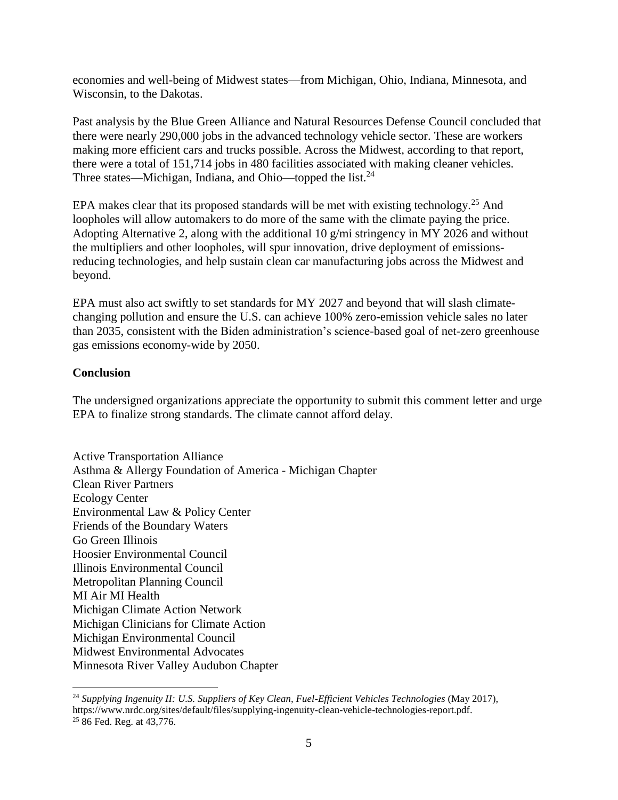economies and well-being of Midwest states—from Michigan, Ohio, Indiana, Minnesota, and Wisconsin, to the Dakotas.

Past analysis by the Blue Green Alliance and Natural Resources Defense Council concluded that there were nearly 290,000 jobs in the advanced technology vehicle sector. These are workers making more efficient cars and trucks possible. Across the Midwest, according to that report, there were a total of 151,714 jobs in 480 facilities associated with making cleaner vehicles. Three states—Michigan, Indiana, and Ohio—topped the list.<sup>24</sup>

EPA makes clear that its proposed standards will be met with existing technology.<sup>25</sup> And loopholes will allow automakers to do more of the same with the climate paying the price. Adopting Alternative 2, along with the additional 10 g/mi stringency in MY 2026 and without the multipliers and other loopholes, will spur innovation, drive deployment of emissionsreducing technologies, and help sustain clean car manufacturing jobs across the Midwest and beyond.

EPA must also act swiftly to set standards for MY 2027 and beyond that will slash climatechanging pollution and ensure the U.S. can achieve 100% zero-emission vehicle sales no later than 2035, consistent with the Biden administration's science-based goal of net-zero greenhouse gas emissions economy-wide by 2050.

#### **Conclusion**

 $\overline{a}$ 

The undersigned organizations appreciate the opportunity to submit this comment letter and urge EPA to finalize strong standards. The climate cannot afford delay.

Active Transportation Alliance Asthma & Allergy Foundation of America - Michigan Chapter Clean River Partners Ecology Center Environmental Law & Policy Center Friends of the Boundary Waters Go Green Illinois Hoosier Environmental Council Illinois Environmental Council Metropolitan Planning Council MI Air MI Health Michigan Climate Action Network Michigan Clinicians for Climate Action Michigan Environmental Council Midwest Environmental Advocates Minnesota River Valley Audubon Chapter

<sup>24</sup> *Supplying Ingenuity II: U.S. Suppliers of Key Clean, Fuel-Efficient Vehicles Technologies* (May 2017), https://www.nrdc.org/sites/default/files/supplying-ingenuity-clean-vehicle-technologies-report.pdf. <sup>25</sup> 86 Fed. Reg. at 43,776.